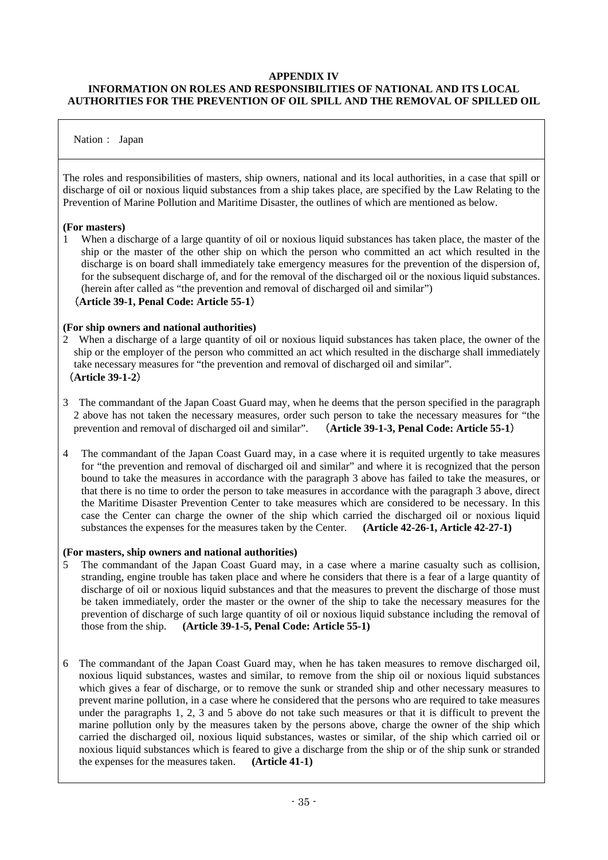## **APPENDIX IV**

## **INFORMATION ON ROLES AND RESPONSIBILITIES OF NATIONAL AND ITS LOCAL AUTHORITIES FOR THE PREVENTION OF OIL SPILL AND THE REMOVAL OF SPILLED OIL**

## Nation: Japan

The roles and responsibilities of masters, ship owners, national and its local authorities, in a case that spill or discharge of oil or noxious liquid substances from a ship takes place, are specified by the Law Relating to the Prevention of Marine Pollution and Maritime Disaster, the outlines of which are mentioned as below.

### **(For masters)**

1 When a discharge of a large quantity of oil or noxious liquid substances has taken place, the master of the ship or the master of the other ship on which the person who committed an act which resulted in the discharge is on board shall immediately take emergency measures for the prevention of the dispersion of, for the subsequent discharge of, and for the removal of the discharged oil or the noxious liquid substances. (herein after called as "the prevention and removal of discharged oil and similar")

# (**Article 39-1, Penal Code: Article 55-1**)

#### **(For ship owners and national authorities)**

- 2 When a discharge of a large quantity of oil or noxious liquid substances has taken place, the owner of the ship or the employer of the person who committed an act which resulted in the discharge shall immediately take necessary measures for "the prevention and removal of discharged oil and similar". (**Article 39-1-2**)
- 3 The commandant of the Japan Coast Guard may, when he deems that the person specified in the paragraph 2 above has not taken the necessary measures, order such person to take the necessary measures for "the prevention and removal of discharged oil and similar". (**Article 39-1-3, Penal Code: Article 55-1**)
- 4 The commandant of the Japan Coast Guard may, in a case where it is requited urgently to take measures for "the prevention and removal of discharged oil and similar" and where it is recognized that the person bound to take the measures in accordance with the paragraph 3 above has failed to take the measures, or that there is no time to order the person to take measures in accordance with the paragraph 3 above, direct the Maritime Disaster Prevention Center to take measures which are considered to be necessary. In this case the Center can charge the owner of the ship which carried the discharged oil or noxious liquid substances the expenses for the measures taken by the Center. **(Article 42-26-1, Article 42-27-1)**

### **(For masters, ship owners and national authorities)**

- 5 The commandant of the Japan Coast Guard may, in a case where a marine casualty such as collision, stranding, engine trouble has taken place and where he considers that there is a fear of a large quantity of discharge of oil or noxious liquid substances and that the measures to prevent the discharge of those must be taken immediately, order the master or the owner of the ship to take the necessary measures for the prevention of discharge of such large quantity of oil or noxious liquid substance including the removal of those from the ship. **(Article 39-1-5, Penal Code: Article 55-1)**
- 6 The commandant of the Japan Coast Guard may, when he has taken measures to remove discharged oil, noxious liquid substances, wastes and similar, to remove from the ship oil or noxious liquid substances which gives a fear of discharge, or to remove the sunk or stranded ship and other necessary measures to prevent marine pollution, in a case where he considered that the persons who are required to take measures under the paragraphs 1, 2, 3 and 5 above do not take such measures or that it is difficult to prevent the marine pollution only by the measures taken by the persons above, charge the owner of the ship which carried the discharged oil, noxious liquid substances, wastes or similar, of the ship which carried oil or noxious liquid substances which is feared to give a discharge from the ship or of the ship sunk or stranded the expenses for the measures taken. **(Article 41-1)**